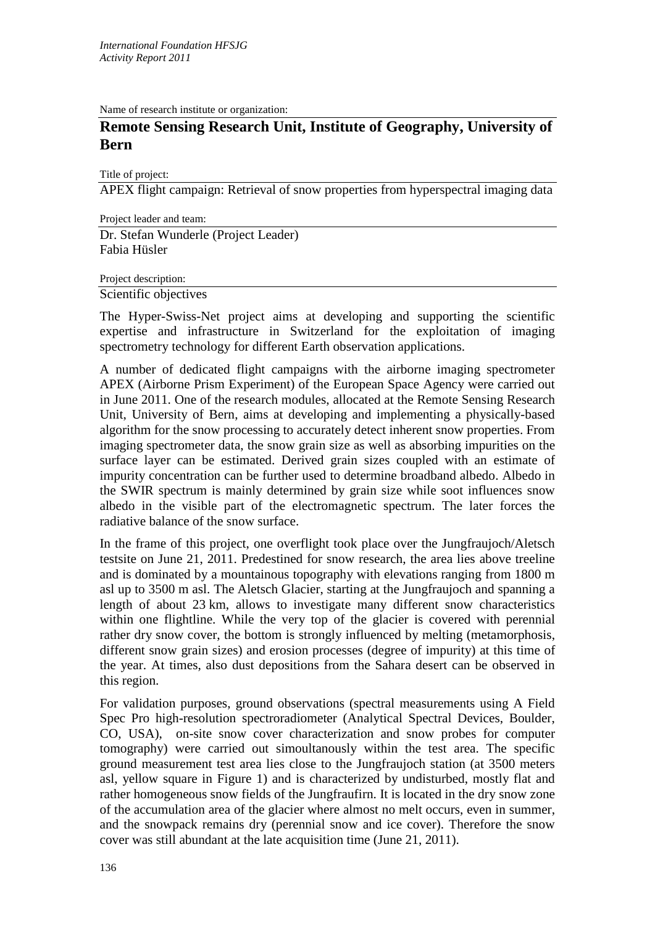Name of research institute or organization:

## **Remote Sensing Research Unit, Institute of Geography, University of Bern**

Title of project:

APEX flight campaign: Retrieval of snow properties from hyperspectral imaging data

Project leader and team: Dr. Stefan Wunderle (Project Leader) Fabia Hüsler

Project description:

Scientific objectives

The Hyper-Swiss-Net project aims at developing and supporting the scientific expertise and infrastructure in Switzerland for the exploitation of imaging spectrometry technology for different Earth observation applications.

A number of dedicated flight campaigns with the airborne imaging spectrometer APEX (Airborne Prism Experiment) of the European Space Agency were carried out in June 2011. One of the research modules, allocated at the Remote Sensing Research Unit, University of Bern, aims at developing and implementing a physically-based algorithm for the snow processing to accurately detect inherent snow properties. From imaging spectrometer data, the snow grain size as well as absorbing impurities on the surface layer can be estimated. Derived grain sizes coupled with an estimate of impurity concentration can be further used to determine broadband albedo. Albedo in the SWIR spectrum is mainly determined by grain size while soot influences snow albedo in the visible part of the electromagnetic spectrum. The later forces the radiative balance of the snow surface.

In the frame of this project, one overflight took place over the Jungfraujoch/Aletsch testsite on June 21, 2011. Predestined for snow research, the area lies above treeline and is dominated by a mountainous topography with elevations ranging from 1800 m asl up to 3500 m asl. The Aletsch Glacier, starting at the Jungfraujoch and spanning a length of about 23 km, allows to investigate many different snow characteristics within one flightline. While the very top of the glacier is covered with perennial rather dry snow cover, the bottom is strongly influenced by melting (metamorphosis, different snow grain sizes) and erosion processes (degree of impurity) at this time of the year. At times, also dust depositions from the Sahara desert can be observed in this region.

For validation purposes, ground observations (spectral measurements using A Field Spec Pro high-resolution spectroradiometer (Analytical Spectral Devices, Boulder, CO, USA), on-site snow cover characterization and snow probes for computer tomography) were carried out simoultanously within the test area. The specific ground measurement test area lies close to the Jungfraujoch station (at 3500 meters asl, yellow square in Figure 1) and is characterized by undisturbed, mostly flat and rather homogeneous snow fields of the Jungfraufirn. It is located in the dry snow zone of the accumulation area of the glacier where almost no melt occurs, even in summer, and the snowpack remains dry (perennial snow and ice cover). Therefore the snow cover was still abundant at the late acquisition time (June 21, 2011).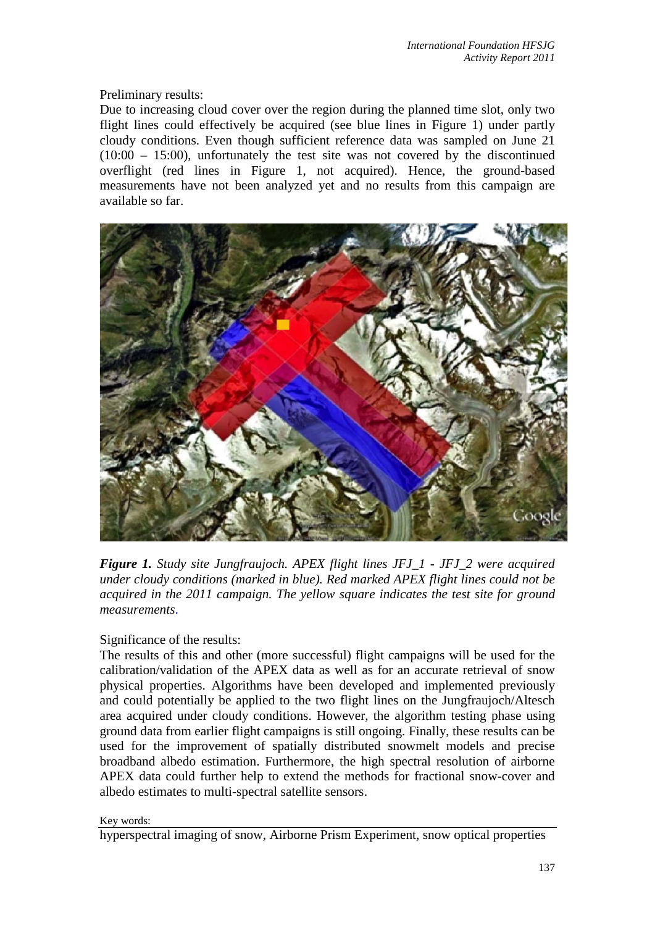Preliminary results:

Due to increasing cloud cover over the region during the planned time slot, only two flight lines could effectively be acquired (see blue lines in Figure 1) under partly cloudy conditions. Even though sufficient reference data was sampled on June 21 (10:00 – 15:00), unfortunately the test site was not covered by the discontinued overflight (red lines in Figure 1, not acquired). Hence, the ground-based measurements have not been analyzed yet and no results from this campaign are available so far.



*Figure 1. Study site Jungfraujoch. APEX flight lines JFJ\_1 - JFJ\_2 were acquired under cloudy conditions (marked in blue). Red marked APEX flight lines could not be acquired in the 2011 campaign. The yellow square indicates the test site for ground measurements*.

Significance of the results:

The results of this and other (more successful) flight campaigns will be used for the calibration/validation of the APEX data as well as for an accurate retrieval of snow physical properties. Algorithms have been developed and implemented previously and could potentially be applied to the two flight lines on the Jungfraujoch/Altesch area acquired under cloudy conditions. However, the algorithm testing phase using ground data from earlier flight campaigns is still ongoing. Finally, these results can be used for the improvement of spatially distributed snowmelt models and precise broadband albedo estimation. Furthermore, the high spectral resolution of airborne APEX data could further help to extend the methods for fractional snow-cover and albedo estimates to multi-spectral satellite sensors.

## Key words:

hyperspectral imaging of snow, Airborne Prism Experiment, snow optical properties